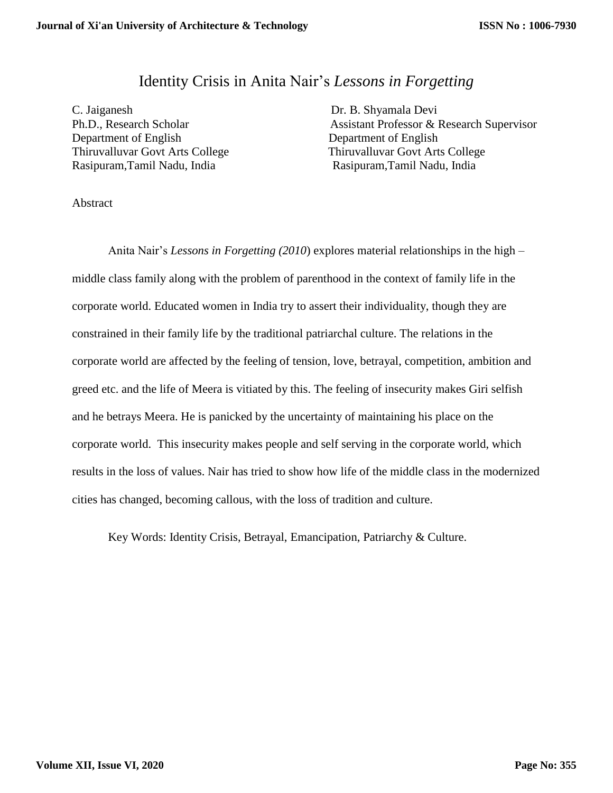## Identity Crisis in Anita Nair's *Lessons in Forgetting*

C. Jaiganesh Dr. B. Shyamala Devi Department of English Department of English Rasipuram,Tamil Nadu, India Rasipuram,Tamil Nadu, India

Ph.D., Research Scholar Assistant Professor & Research Supervisor Thiruvalluvar Govt Arts College Thiruvalluvar Govt Arts College

Abstract

Anita Nair's *Lessons in Forgetting (2010*) explores material relationships in the high – middle class family along with the problem of parenthood in the context of family life in the corporate world. Educated women in India try to assert their individuality, though they are constrained in their family life by the traditional patriarchal culture. The relations in the corporate world are affected by the feeling of tension, love, betrayal, competition, ambition and greed etc. and the life of Meera is vitiated by this. The feeling of insecurity makes Giri selfish and he betrays Meera. He is panicked by the uncertainty of maintaining his place on the corporate world. This insecurity makes people and self serving in the corporate world, which results in the loss of values. Nair has tried to show how life of the middle class in the modernized cities has changed, becoming callous, with the loss of tradition and culture.

Key Words: Identity Crisis, Betrayal, Emancipation, Patriarchy & Culture.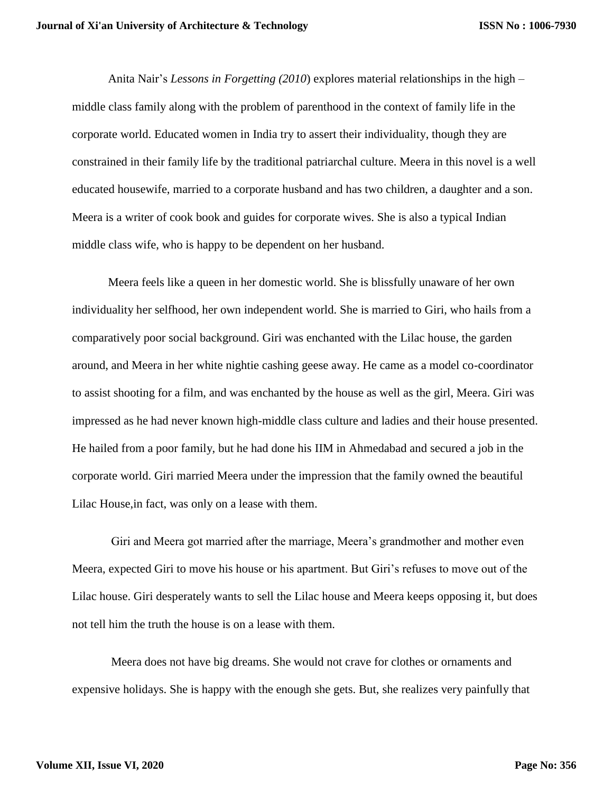Anita Nair's *Lessons in Forgetting (2010*) explores material relationships in the high – middle class family along with the problem of parenthood in the context of family life in the corporate world. Educated women in India try to assert their individuality, though they are constrained in their family life by the traditional patriarchal culture. Meera in this novel is a well educated housewife, married to a corporate husband and has two children, a daughter and a son. Meera is a writer of cook book and guides for corporate wives. She is also a typical Indian middle class wife, who is happy to be dependent on her husband.

Meera feels like a queen in her domestic world. She is blissfully unaware of her own individuality her selfhood, her own independent world. She is married to Giri, who hails from a comparatively poor social background. Giri was enchanted with the Lilac house, the garden around, and Meera in her white nightie cashing geese away. He came as a model co-coordinator to assist shooting for a film, and was enchanted by the house as well as the girl, Meera. Giri was impressed as he had never known high-middle class culture and ladies and their house presented. He hailed from a poor family, but he had done his IIM in Ahmedabad and secured a job in the corporate world. Giri married Meera under the impression that the family owned the beautiful Lilac House,in fact, was only on a lease with them.

Giri and Meera got married after the marriage, Meera's grandmother and mother even Meera, expected Giri to move his house or his apartment. But Giri's refuses to move out of the Lilac house. Giri desperately wants to sell the Lilac house and Meera keeps opposing it, but does not tell him the truth the house is on a lease with them.

Meera does not have big dreams. She would not crave for clothes or ornaments and expensive holidays. She is happy with the enough she gets. But, she realizes very painfully that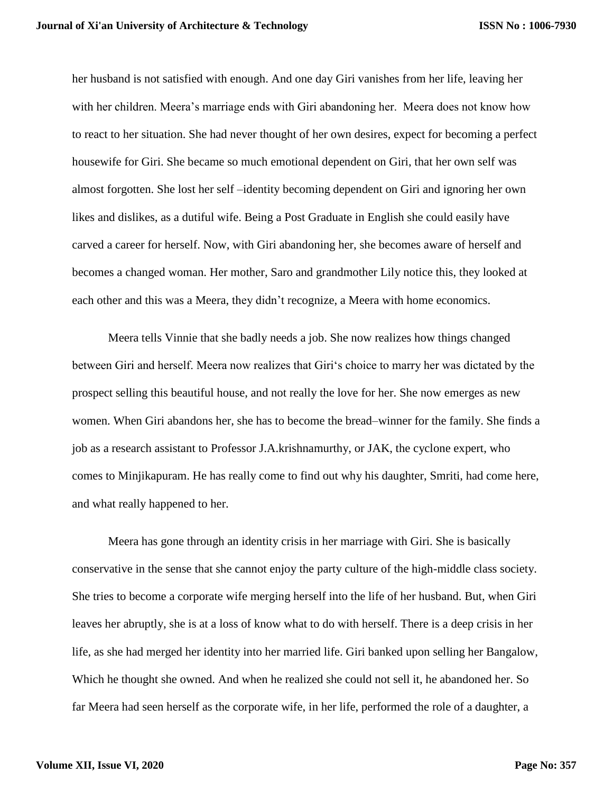her husband is not satisfied with enough. And one day Giri vanishes from her life, leaving her with her children. Meera's marriage ends with Giri abandoning her. Meera does not know how to react to her situation. She had never thought of her own desires, expect for becoming a perfect housewife for Giri. She became so much emotional dependent on Giri, that her own self was almost forgotten. She lost her self –identity becoming dependent on Giri and ignoring her own likes and dislikes, as a dutiful wife. Being a Post Graduate in English she could easily have carved a career for herself. Now, with Giri abandoning her, she becomes aware of herself and becomes a changed woman. Her mother, Saro and grandmother Lily notice this, they looked at each other and this was a Meera, they didn't recognize, a Meera with home economics.

Meera tells Vinnie that she badly needs a job. She now realizes how things changed between Giri and herself. Meera now realizes that Giri's choice to marry her was dictated by the prospect selling this beautiful house, and not really the love for her. She now emerges as new women. When Giri abandons her, she has to become the bread–winner for the family. She finds a job as a research assistant to Professor J.A.krishnamurthy, or JAK, the cyclone expert, who comes to Minjikapuram. He has really come to find out why his daughter, Smriti, had come here, and what really happened to her.

Meera has gone through an identity crisis in her marriage with Giri. She is basically conservative in the sense that she cannot enjoy the party culture of the high-middle class society. She tries to become a corporate wife merging herself into the life of her husband. But, when Giri leaves her abruptly, she is at a loss of know what to do with herself. There is a deep crisis in her life, as she had merged her identity into her married life. Giri banked upon selling her Bangalow, Which he thought she owned. And when he realized she could not sell it, he abandoned her. So far Meera had seen herself as the corporate wife, in her life, performed the role of a daughter, a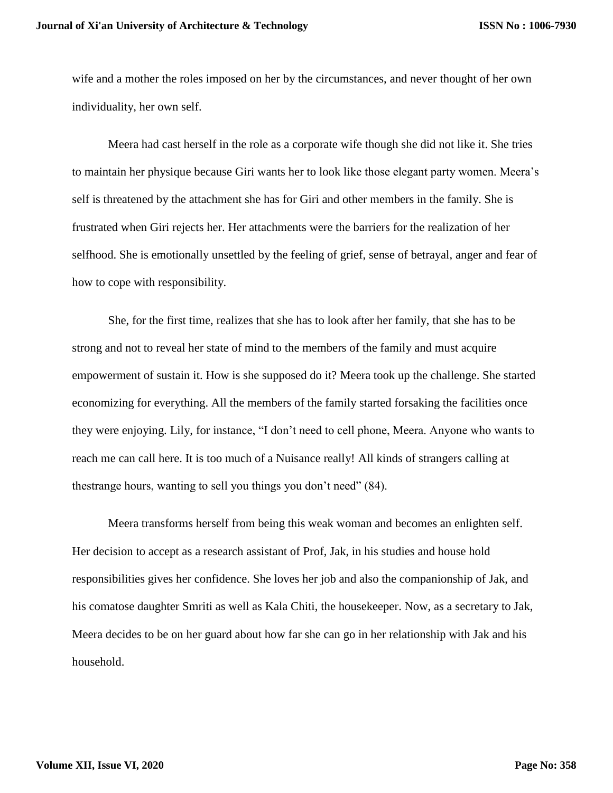wife and a mother the roles imposed on her by the circumstances, and never thought of her own individuality, her own self.

Meera had cast herself in the role as a corporate wife though she did not like it. She tries to maintain her physique because Giri wants her to look like those elegant party women. Meera's self is threatened by the attachment she has for Giri and other members in the family. She is frustrated when Giri rejects her. Her attachments were the barriers for the realization of her selfhood. She is emotionally unsettled by the feeling of grief, sense of betrayal, anger and fear of how to cope with responsibility.

She, for the first time, realizes that she has to look after her family, that she has to be strong and not to reveal her state of mind to the members of the family and must acquire empowerment of sustain it. How is she supposed do it? Meera took up the challenge. She started economizing for everything. All the members of the family started forsaking the facilities once they were enjoying. Lily, for instance, "I don't need to cell phone, Meera. Anyone who wants to reach me can call here. It is too much of a Nuisance really! All kinds of strangers calling at thestrange hours, wanting to sell you things you don't need" (84).

Meera transforms herself from being this weak woman and becomes an enlighten self. Her decision to accept as a research assistant of Prof, Jak, in his studies and house hold responsibilities gives her confidence. She loves her job and also the companionship of Jak, and his comatose daughter Smriti as well as Kala Chiti, the housekeeper. Now, as a secretary to Jak, Meera decides to be on her guard about how far she can go in her relationship with Jak and his household.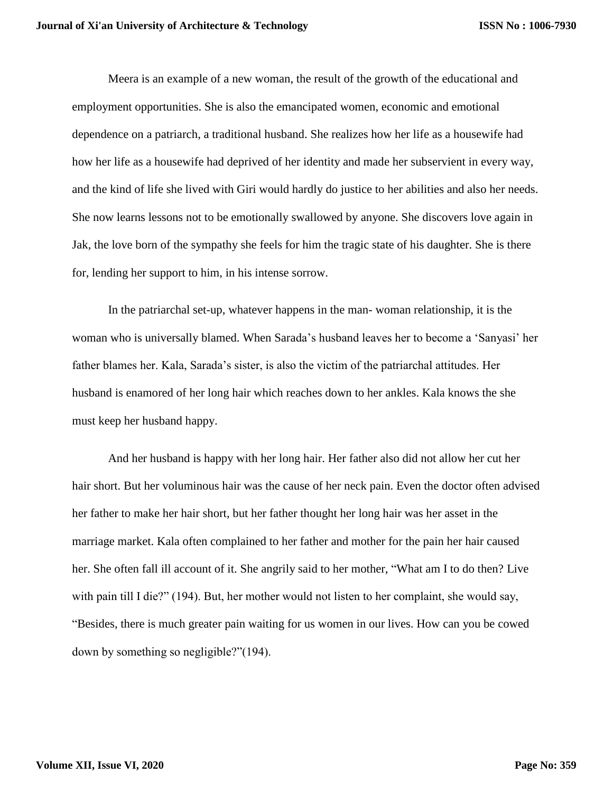Meera is an example of a new woman, the result of the growth of the educational and employment opportunities. She is also the emancipated women, economic and emotional dependence on a patriarch, a traditional husband. She realizes how her life as a housewife had how her life as a housewife had deprived of her identity and made her subservient in every way, and the kind of life she lived with Giri would hardly do justice to her abilities and also her needs. She now learns lessons not to be emotionally swallowed by anyone. She discovers love again in Jak, the love born of the sympathy she feels for him the tragic state of his daughter. She is there for, lending her support to him, in his intense sorrow.

In the patriarchal set-up, whatever happens in the man- woman relationship, it is the woman who is universally blamed. When Sarada's husband leaves her to become a 'Sanyasi' her father blames her. Kala, Sarada's sister, is also the victim of the patriarchal attitudes. Her husband is enamored of her long hair which reaches down to her ankles. Kala knows the she must keep her husband happy.

And her husband is happy with her long hair. Her father also did not allow her cut her hair short. But her voluminous hair was the cause of her neck pain. Even the doctor often advised her father to make her hair short, but her father thought her long hair was her asset in the marriage market. Kala often complained to her father and mother for the pain her hair caused her. She often fall ill account of it. She angrily said to her mother, "What am I to do then? Live with pain till I die?" (194). But, her mother would not listen to her complaint, she would say, "Besides, there is much greater pain waiting for us women in our lives. How can you be cowed down by something so negligible?"(194).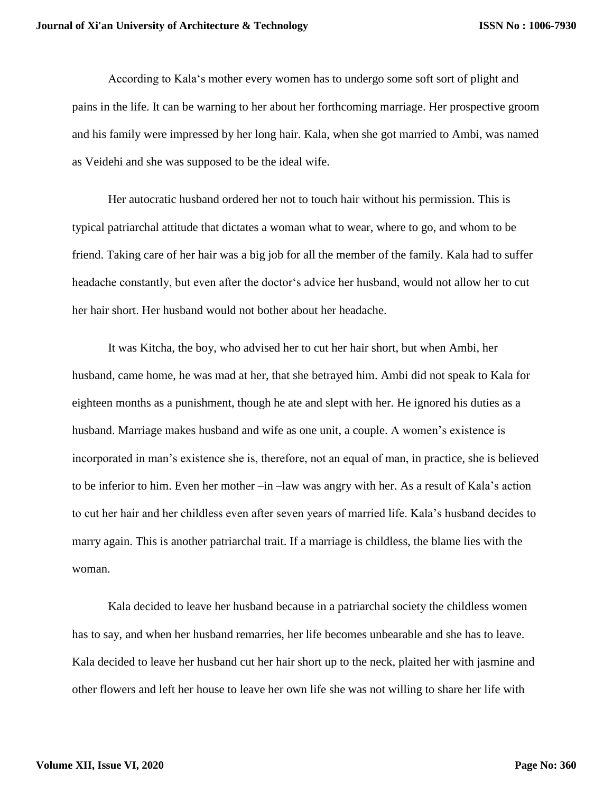According to Kala's mother every women has to undergo some soft sort of plight and pains in the life. It can be warning to her about her forthcoming marriage. Her prospective groom and his family were impressed by her long hair. Kala, when she got married to Ambi, was named as Veidehi and she was supposed to be the ideal wife.

Her autocratic husband ordered her not to touch hair without his permission. This is typical patriarchal attitude that dictates a woman what to wear, where to go, and whom to be friend. Taking care of her hair was a big job for all the member of the family. Kala had to suffer headache constantly, but even after the doctor's advice her husband, would not allow her to cut her hair short. Her husband would not bother about her headache.

It was Kitcha, the boy, who advised her to cut her hair short, but when Ambi, her husband, came home, he was mad at her, that she betrayed him. Ambi did not speak to Kala for eighteen months as a punishment, though he ate and slept with her. He ignored his duties as a husband. Marriage makes husband and wife as one unit, a couple. A women's existence is incorporated in man's existence she is, therefore, not an equal of man, in practice, she is believed to be inferior to him. Even her mother –in –law was angry with her. As a result of Kala's action to cut her hair and her childless even after seven years of married life. Kala's husband decides to marry again. This is another patriarchal trait. If a marriage is childless, the blame lies with the woman.

Kala decided to leave her husband because in a patriarchal society the childless women has to say, and when her husband remarries, her life becomes unbearable and she has to leave. Kala decided to leave her husband cut her hair short up to the neck, plaited her with jasmine and other flowers and left her house to leave her own life she was not willing to share her life with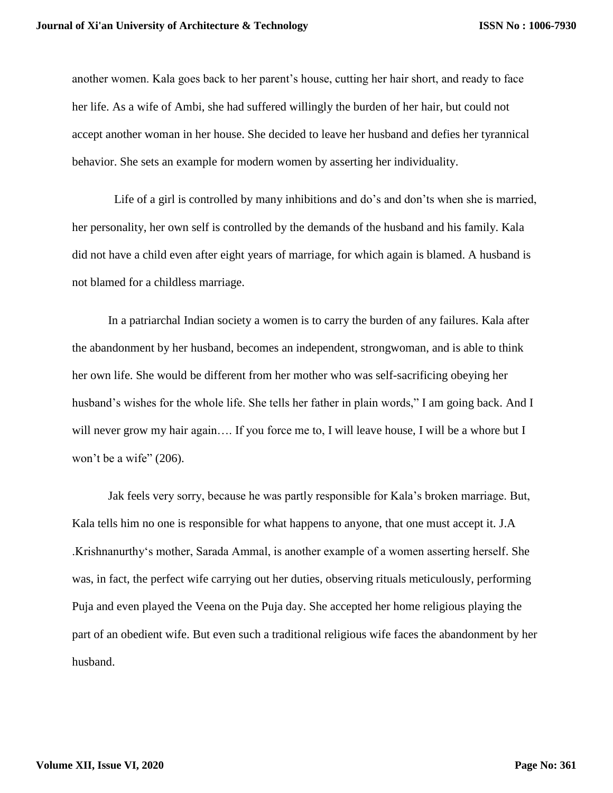another women. Kala goes back to her parent's house, cutting her hair short, and ready to face her life. As a wife of Ambi, she had suffered willingly the burden of her hair, but could not accept another woman in her house. She decided to leave her husband and defies her tyrannical behavior. She sets an example for modern women by asserting her individuality.

Life of a girl is controlled by many inhibitions and do's and don'ts when she is married, her personality, her own self is controlled by the demands of the husband and his family. Kala did not have a child even after eight years of marriage, for which again is blamed. A husband is not blamed for a childless marriage.

In a patriarchal Indian society a women is to carry the burden of any failures. Kala after the abandonment by her husband, becomes an independent, strongwoman, and is able to think her own life. She would be different from her mother who was self-sacrificing obeying her husband's wishes for the whole life. She tells her father in plain words," I am going back. And I will never grow my hair again.... If you force me to, I will leave house, I will be a whore but I won't be a wife" (206).

Jak feels very sorry, because he was partly responsible for Kala's broken marriage. But, Kala tells him no one is responsible for what happens to anyone, that one must accept it. J.A .Krishnanurthy's mother, Sarada Ammal, is another example of a women asserting herself. She was, in fact, the perfect wife carrying out her duties, observing rituals meticulously, performing Puja and even played the Veena on the Puja day. She accepted her home religious playing the part of an obedient wife. But even such a traditional religious wife faces the abandonment by her husband.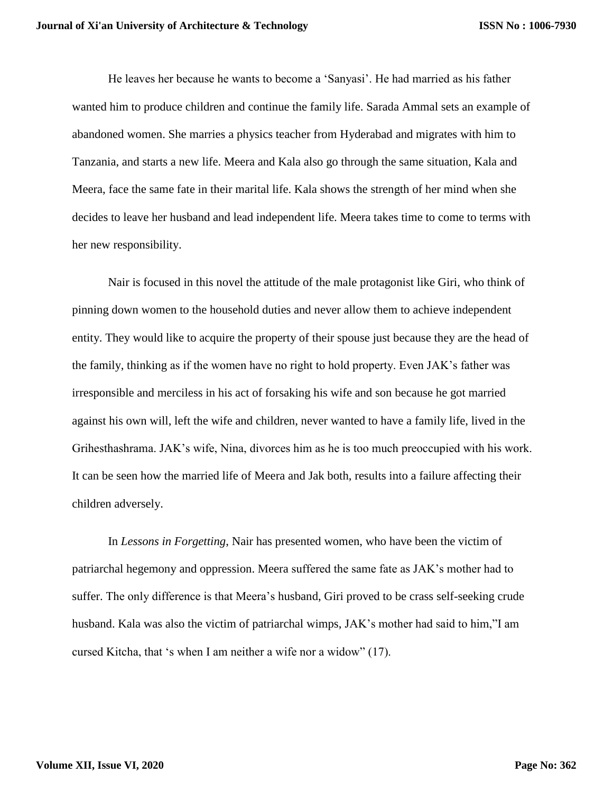He leaves her because he wants to become a 'Sanyasi'. He had married as his father wanted him to produce children and continue the family life. Sarada Ammal sets an example of abandoned women. She marries a physics teacher from Hyderabad and migrates with him to Tanzania, and starts a new life. Meera and Kala also go through the same situation, Kala and Meera, face the same fate in their marital life. Kala shows the strength of her mind when she decides to leave her husband and lead independent life. Meera takes time to come to terms with her new responsibility.

Nair is focused in this novel the attitude of the male protagonist like Giri, who think of pinning down women to the household duties and never allow them to achieve independent entity. They would like to acquire the property of their spouse just because they are the head of the family, thinking as if the women have no right to hold property. Even JAK's father was irresponsible and merciless in his act of forsaking his wife and son because he got married against his own will, left the wife and children, never wanted to have a family life, lived in the Grihesthashrama. JAK's wife, Nina, divorces him as he is too much preoccupied with his work. It can be seen how the married life of Meera and Jak both, results into a failure affecting their children adversely.

In *Lessons in Forgetting*, Nair has presented women, who have been the victim of patriarchal hegemony and oppression. Meera suffered the same fate as JAK's mother had to suffer. The only difference is that Meera's husband, Giri proved to be crass self-seeking crude husband. Kala was also the victim of patriarchal wimps, JAK's mother had said to him,"I am cursed Kitcha, that 's when I am neither a wife nor a widow" (17).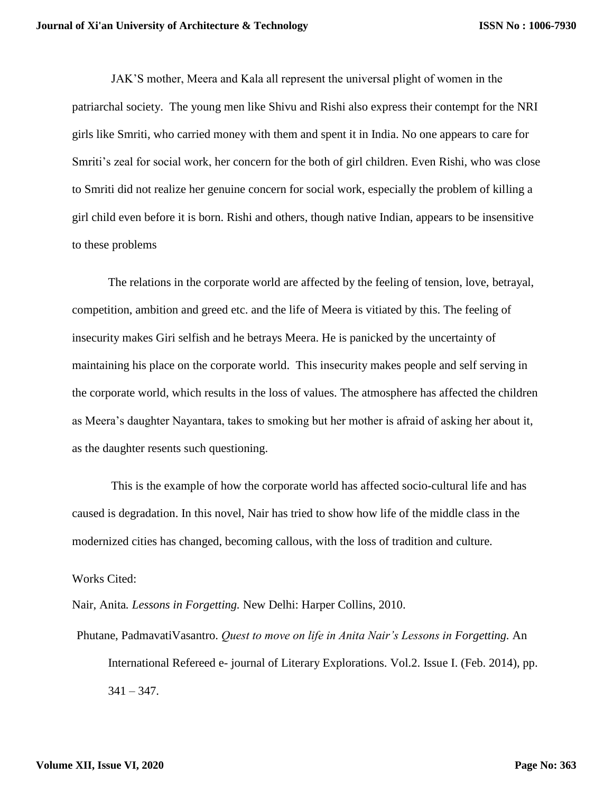JAK'S mother, Meera and Kala all represent the universal plight of women in the patriarchal society. The young men like Shivu and Rishi also express their contempt for the NRI girls like Smriti, who carried money with them and spent it in India. No one appears to care for Smriti's zeal for social work, her concern for the both of girl children. Even Rishi, who was close to Smriti did not realize her genuine concern for social work, especially the problem of killing a girl child even before it is born. Rishi and others, though native Indian, appears to be insensitive to these problems

The relations in the corporate world are affected by the feeling of tension, love, betrayal, competition, ambition and greed etc. and the life of Meera is vitiated by this. The feeling of insecurity makes Giri selfish and he betrays Meera. He is panicked by the uncertainty of maintaining his place on the corporate world. This insecurity makes people and self serving in the corporate world, which results in the loss of values. The atmosphere has affected the children as Meera's daughter Nayantara, takes to smoking but her mother is afraid of asking her about it, as the daughter resents such questioning.

This is the example of how the corporate world has affected socio-cultural life and has caused is degradation. In this novel, Nair has tried to show how life of the middle class in the modernized cities has changed, becoming callous, with the loss of tradition and culture.

Works Cited:

Nair, Anita*. Lessons in Forgetting.* New Delhi: Harper Collins, 2010.

Phutane, PadmavatiVasantro. *Quest to move on life in Anita Nair's Lessons in Forgetting.* An International Refereed e- journal of Literary Explorations. Vol.2. Issue I. (Feb. 2014), pp.  $341 - 347$ .